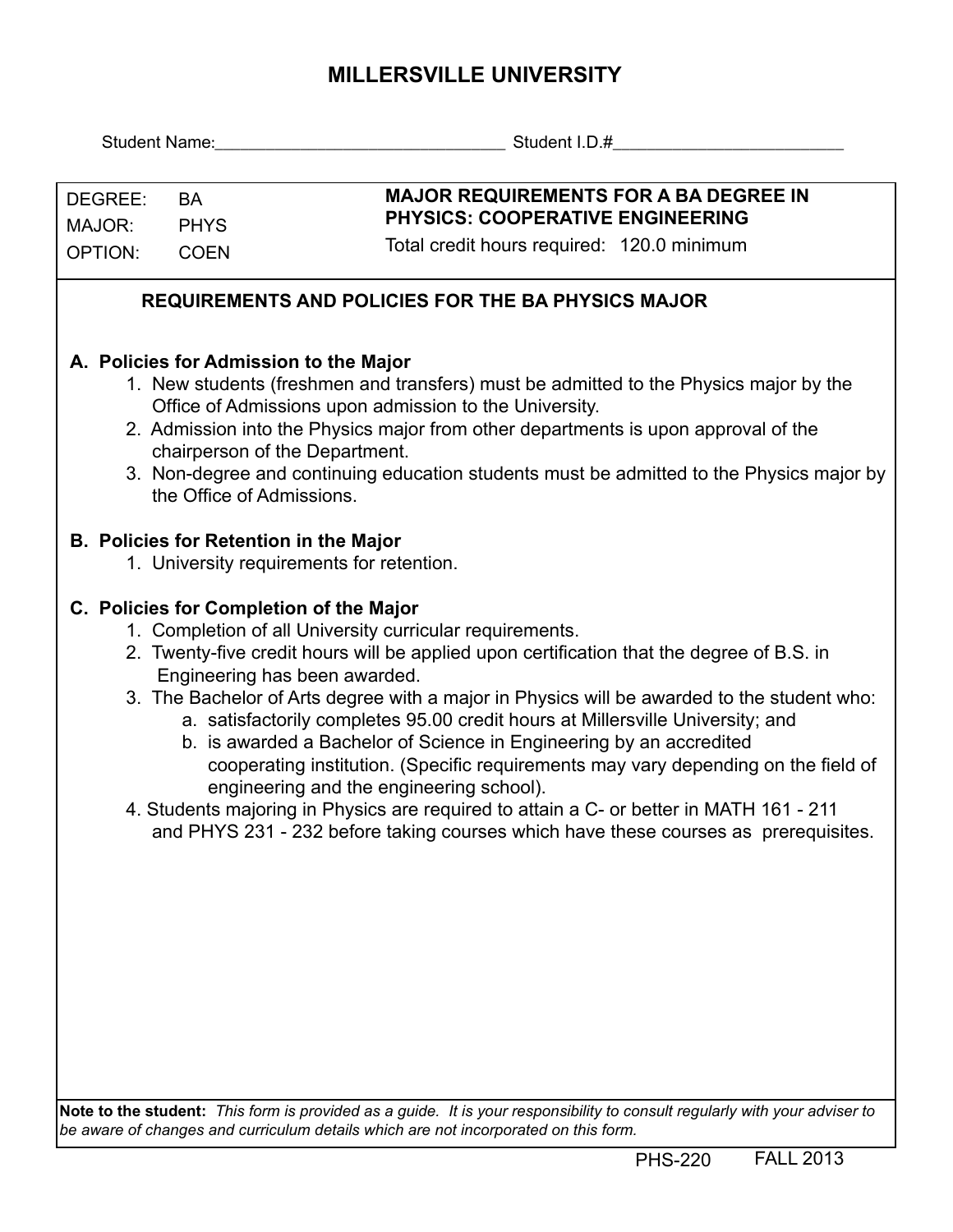## **MILLERSVILLE UNIVERSITY**

|                                                                                                                                                                                                                                                                                                                                                                                                                                                                                                                                                                                                                                                                                                                                                                                                              |                                                                                                       | Student Name: Name: Name and Name and Name and Name and Name and Name and Name and Name and Name and Name and N                                                                                                                                                                                                                   |  |  |  |  |  |
|--------------------------------------------------------------------------------------------------------------------------------------------------------------------------------------------------------------------------------------------------------------------------------------------------------------------------------------------------------------------------------------------------------------------------------------------------------------------------------------------------------------------------------------------------------------------------------------------------------------------------------------------------------------------------------------------------------------------------------------------------------------------------------------------------------------|-------------------------------------------------------------------------------------------------------|-----------------------------------------------------------------------------------------------------------------------------------------------------------------------------------------------------------------------------------------------------------------------------------------------------------------------------------|--|--|--|--|--|
| DEGREE:<br>MAJOR:<br><b>OPTION:</b>                                                                                                                                                                                                                                                                                                                                                                                                                                                                                                                                                                                                                                                                                                                                                                          | <b>BA</b><br><b>PHYS</b><br><b>COEN</b>                                                               | <b>MAJOR REQUIREMENTS FOR A BA DEGREE IN</b><br>PHYSICS: COOPERATIVE ENGINEERING<br>Total credit hours required: 120.0 minimum                                                                                                                                                                                                    |  |  |  |  |  |
|                                                                                                                                                                                                                                                                                                                                                                                                                                                                                                                                                                                                                                                                                                                                                                                                              |                                                                                                       | <b>REQUIREMENTS AND POLICIES FOR THE BA PHYSICS MAJOR</b>                                                                                                                                                                                                                                                                         |  |  |  |  |  |
|                                                                                                                                                                                                                                                                                                                                                                                                                                                                                                                                                                                                                                                                                                                                                                                                              | A. Policies for Admission to the Major<br>chairperson of the Department.<br>the Office of Admissions. | 1. New students (freshmen and transfers) must be admitted to the Physics major by the<br>Office of Admissions upon admission to the University.<br>2. Admission into the Physics major from other departments is upon approval of the<br>3. Non-degree and continuing education students must be admitted to the Physics major by |  |  |  |  |  |
|                                                                                                                                                                                                                                                                                                                                                                                                                                                                                                                                                                                                                                                                                                                                                                                                              | <b>B. Policies for Retention in the Major</b>                                                         | 1. University requirements for retention.                                                                                                                                                                                                                                                                                         |  |  |  |  |  |
| C. Policies for Completion of the Major<br>1. Completion of all University curricular requirements.<br>2. Twenty-five credit hours will be applied upon certification that the degree of B.S. in<br>Engineering has been awarded.<br>3. The Bachelor of Arts degree with a major in Physics will be awarded to the student who:<br>a. satisfactorily completes 95.00 credit hours at Millersville University; and<br>b. is awarded a Bachelor of Science in Engineering by an accredited<br>cooperating institution. (Specific requirements may vary depending on the field of<br>engineering and the engineering school).<br>4. Students majoring in Physics are required to attain a C- or better in MATH 161 - 211<br>and PHYS 231 - 232 before taking courses which have these courses as prerequisites. |                                                                                                       |                                                                                                                                                                                                                                                                                                                                   |  |  |  |  |  |

**Note to the student:** *This form is provided as a guide. It is your responsibility to consult regularly with your adviser to be aware of changes and curriculum details which are not incorporated on this form.*